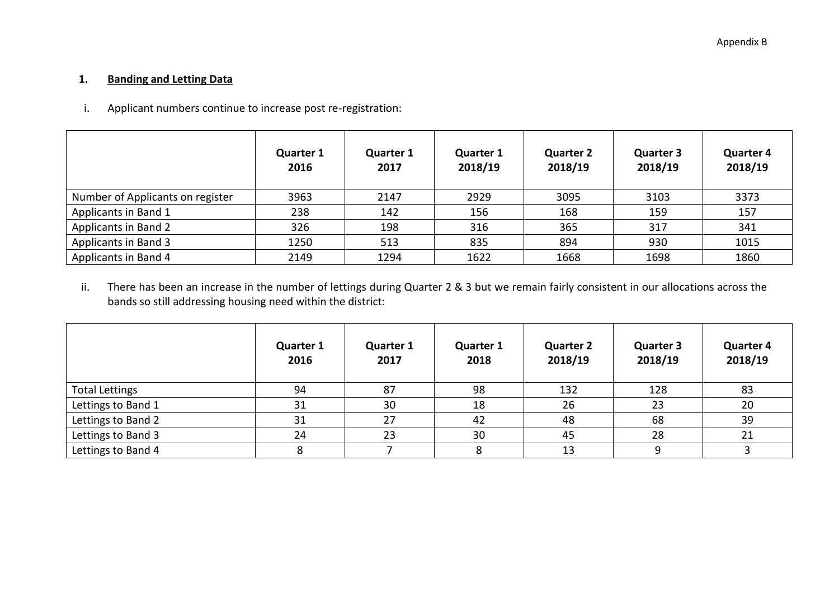## **1. Banding and Letting Data**

i. Applicant numbers continue to increase post re-registration:

|                                  | <b>Quarter 1</b><br>2016 | <b>Quarter 1</b><br>2017 | <b>Quarter 1</b><br>2018/19 | <b>Quarter 2</b><br>2018/19 | <b>Quarter 3</b><br>2018/19 | <b>Quarter 4</b><br>2018/19 |
|----------------------------------|--------------------------|--------------------------|-----------------------------|-----------------------------|-----------------------------|-----------------------------|
| Number of Applicants on register | 3963                     | 2147                     | 2929                        | 3095                        | 3103                        | 3373                        |
| Applicants in Band 1             | 238                      | 142                      | 156                         | 168                         | 159                         | 157                         |
| Applicants in Band 2             | 326                      | 198                      | 316                         | 365                         | 317                         | 341                         |
| Applicants in Band 3             | 1250                     | 513                      | 835                         | 894                         | 930                         | 1015                        |
| Applicants in Band 4             | 2149                     | 1294                     | 1622                        | 1668                        | 1698                        | 1860                        |

ii. There has been an increase in the number of lettings during Quarter 2 & 3 but we remain fairly consistent in our allocations across the bands so still addressing housing need within the district:

|                       | <b>Quarter 1</b><br>2016 | <b>Quarter 1</b><br>2017 | <b>Quarter 1</b><br>2018 | <b>Quarter 2</b><br>2018/19 | <b>Quarter 3</b><br>2018/19 | <b>Quarter 4</b><br>2018/19 |
|-----------------------|--------------------------|--------------------------|--------------------------|-----------------------------|-----------------------------|-----------------------------|
| <b>Total Lettings</b> | 94                       | 87                       | 98                       | 132                         | 128                         | 83                          |
| Lettings to Band 1    | 31                       | 30                       | 18                       | 26                          | 23                          | 20                          |
| Lettings to Band 2    | 31                       | 27                       | 42                       | 48                          | 68                          | 39                          |
| Lettings to Band 3    | 24                       | 23                       | 30                       | 45                          | 28                          | 21                          |
| Lettings to Band 4    |                          |                          |                          | 13                          |                             |                             |